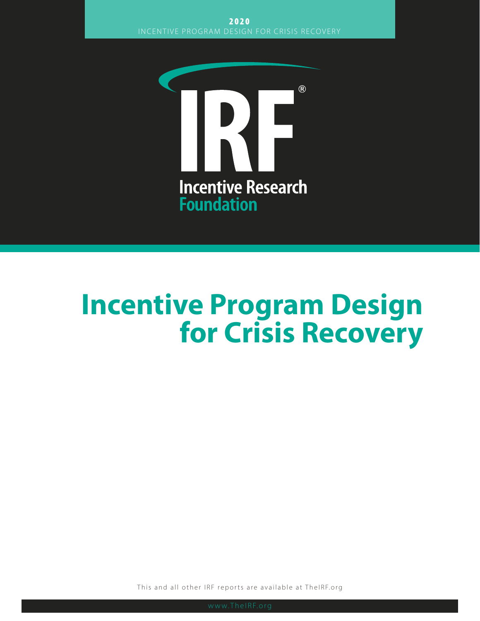

# **Incentive Program Design for Crisis Recovery**

This and all other IRF reports are available at [TheIRF.org](https://theirf.org/)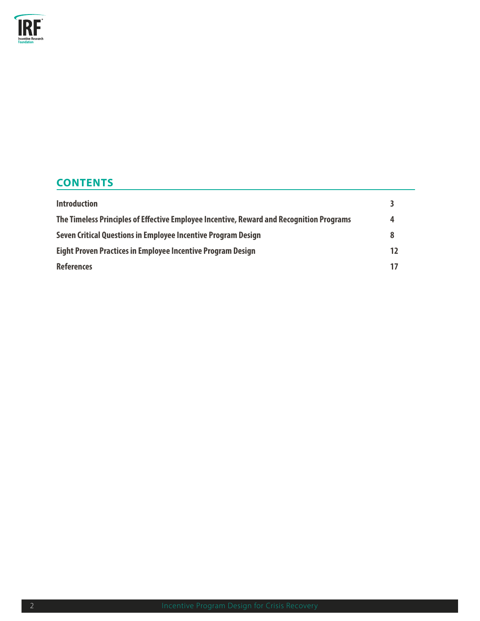

# **CONTENTS**

| <b>Introduction</b>                                                                      |    |
|------------------------------------------------------------------------------------------|----|
| The Timeless Principles of Effective Employee Incentive, Reward and Recognition Programs | 4  |
| Seven Critical Questions in Employee Incentive Program Design                            | 8  |
| Eight Proven Practices in Employee Incentive Program Design                              | 12 |
| <b>References</b>                                                                        |    |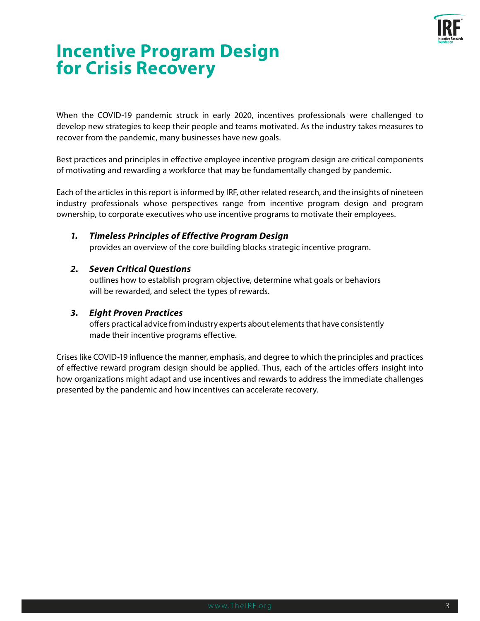

# **Incentive Program Design for Crisis Recovery**

When the COVID-19 pandemic struck in early 2020, incentives professionals were challenged to develop new strategies to keep their people and teams motivated. As the industry takes measures to recover from the pandemic, many businesses have new goals.

Best practices and principles in effective employee incentive program design are critical components of motivating and rewarding a workforce that may be fundamentally changed by pandemic.

Each of the articles in this report is informed by IRF, other related research, and the insights of nineteen industry professionals whose perspectives range from incentive program design and program ownership, to corporate executives who use incentive programs to motivate their employees.

*1. Timeless Principles of Effective Program Design* provides an overview of the core building blocks strategic incentive program.

#### *2. Seven Critical Questions*

outlines how to establish program objective, determine what goals or behaviors will be rewarded, and select the types of rewards.

#### *3. Eight Proven Practices*

offers practical advice from industry experts about elements that have consistently made their incentive programs effective.

Crises like COVID-19 influence the manner, emphasis, and degree to which the principles and practices of effective reward program design should be applied. Thus, each of the articles offers insight into how organizations might adapt and use incentives and rewards to address the immediate challenges presented by the pandemic and how incentives can accelerate recovery.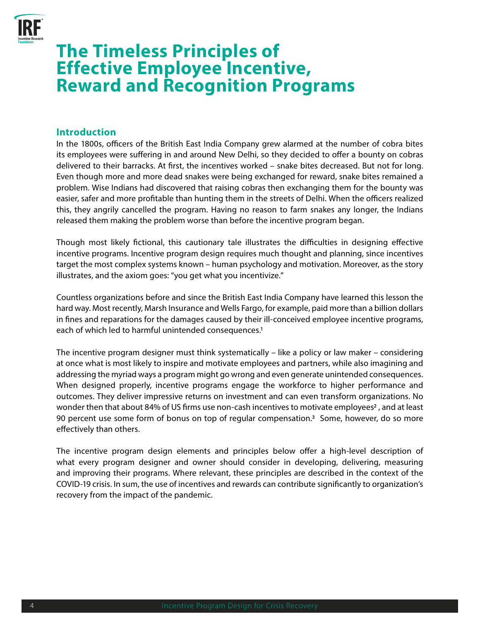

# **The Timeless Principles of Effective Employee Incentive, Reward and Recognition Programs**

# **Introduction**

In the 1800s, officers of the British East India Company grew alarmed at the number of cobra bites its employees were suffering in and around New Delhi, so they decided to offer a bounty on cobras delivered to their barracks. At first, the incentives worked – snake bites decreased. But not for long. Even though more and more dead snakes were being exchanged for reward, snake bites remained a problem. Wise Indians had discovered that raising cobras then exchanging them for the bounty was easier, safer and more profitable than hunting them in the streets of Delhi. When the officers realized this, they angrily cancelled the program. Having no reason to farm snakes any longer, the Indians released them making the problem worse than before the incentive program began.

Though most likely fictional, this cautionary tale illustrates the difficulties in designing effective incentive programs. Incentive program design requires much thought and planning, since incentives target the most complex systems known – human psychology and motivation. Moreover, as the story illustrates, and the axiom goes: "you get what you incentivize."

Countless organizations before and since the British East India Company have learned this lesson the hard way. Most recently, Marsh Insurance and Wells Fargo, for example, paid more than a billion dollars in fines and reparations for the damages caused by their ill-conceived employee incentive programs, each of which led to harmful unintended consequences.<sup>1</sup>

The incentive program designer must think systematically – like a policy or law maker – considering at once what is most likely to inspire and motivate employees and partners, while also imagining and addressing the myriad ways a program might go wrong and even generate unintended consequences. When designed properly, incentive programs engage the workforce to higher performance and outcomes. They deliver impressive returns on investment and can even transform organizations. No wonder then that about 84% of US firms use non-cash incentives to motivate employees<sup>2</sup>, and at least 90 percent use some form of bonus on top of regular compensation.<sup>3</sup> Some, however, do so more effectively than others.

The incentive program design elements and principles below offer a high-level description of what every program designer and owner should consider in developing, delivering, measuring and improving their programs. Where relevant, these principles are described in the context of the COVID-19 crisis. In sum, the use of incentives and rewards can contribute significantly to organization's recovery from the impact of the pandemic.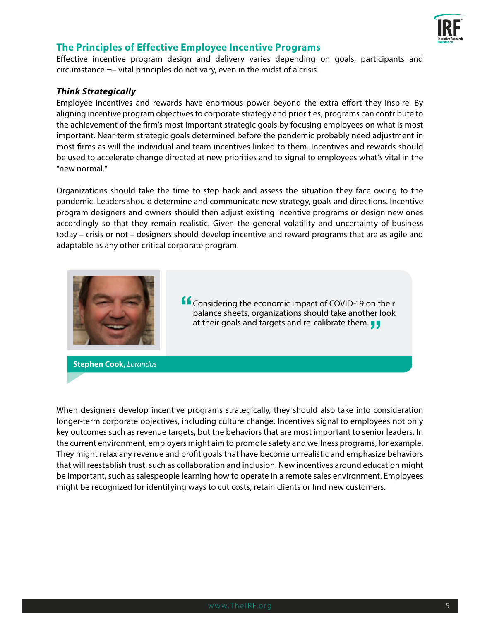

# **The Principles of Effective Employee Incentive Programs**

Effective incentive program design and delivery varies depending on goals, participants and circumstance  $\neg$ - vital principles do not vary, even in the midst of a crisis.

#### *Think Strategically*

Employee incentives and rewards have enormous power beyond the extra effort they inspire. By aligning incentive program objectives to corporate strategy and priorities, programs can contribute to the achievement of the firm's most important strategic goals by focusing employees on what is most important. Near-term strategic goals determined before the pandemic probably need adjustment in most firms as will the individual and team incentives linked to them. Incentives and rewards should be used to accelerate change directed at new priorities and to signal to employees what's vital in the "new normal."

Organizations should take the time to step back and assess the situation they face owing to the pandemic. Leaders should determine and communicate new strategy, goals and directions. Incentive program designers and owners should then adjust existing incentive programs or design new ones accordingly so that they remain realistic. Given the general volatility and uncertainty of business today – crisis or not – designers should develop incentive and reward programs that are as agile and adaptable as any other critical corporate program.



**f** Considering the economic impact of COVID-19 on their<br>balance sheets, organizations should take another look<br>at their goals and targets and re-calibrate them balance sheets, organizations should take another look at their goals and targets and re-calibrate them. **"**

**Stephen Cook,** *Lorandus*

When designers develop incentive programs strategically, they should also take into consideration longer-term corporate objectives, including culture change. Incentives signal to employees not only key outcomes such as revenue targets, but the behaviors that are most important to senior leaders. In the current environment, employers might aim to promote safety and wellness programs, for example. They might relax any revenue and profit goals that have become unrealistic and emphasize behaviors that will reestablish trust, such as collaboration and inclusion. New incentives around education might be important, such as salespeople learning how to operate in a remote sales environment. Employees might be recognized for identifying ways to cut costs, retain clients or find new customers.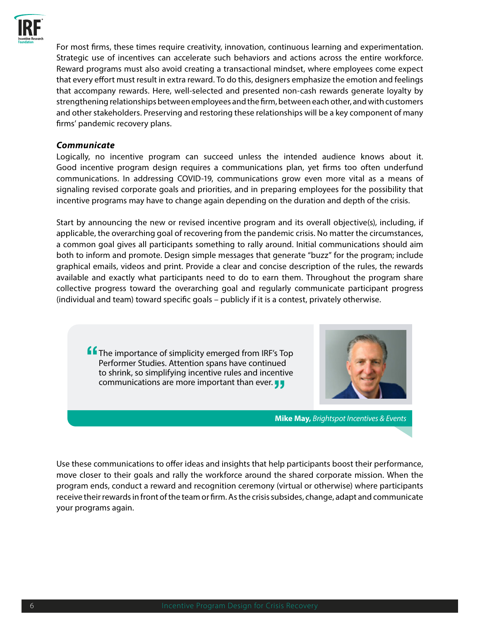

For most firms, these times require creativity, innovation, continuous learning and experimentation. Strategic use of incentives can accelerate such behaviors and actions across the entire workforce. Reward programs must also avoid creating a transactional mindset, where employees come expect that every effort must result in extra reward. To do this, designers emphasize the emotion and feelings that accompany rewards. Here, well-selected and presented non-cash rewards generate loyalty by strengthening relationships between employees and the firm, between each other, and with customers and other stakeholders. Preserving and restoring these relationships will be a key component of many firms' pandemic recovery plans.

#### *Communicate*

Logically, no incentive program can succeed unless the intended audience knows about it. Good incentive program design requires a communications plan, yet firms too often underfund communications. In addressing COVID-19, communications grow even more vital as a means of signaling revised corporate goals and priorities, and in preparing employees for the possibility that incentive programs may have to change again depending on the duration and depth of the crisis.

Start by announcing the new or revised incentive program and its overall objective(s), including, if applicable, the overarching goal of recovering from the pandemic crisis. No matter the circumstances, a common goal gives all participants something to rally around. Initial communications should aim both to inform and promote. Design simple messages that generate "buzz" for the program; include graphical emails, videos and print. Provide a clear and concise description of the rules, the rewards available and exactly what participants need to do to earn them. Throughout the program share collective progress toward the overarching goal and regularly communicate participant progress (individual and team) toward specific goals – publicly if it is a contest, privately otherwise.

**f** The importance of simplicity emerged from IRF's Top Performer Studies. Attention spans have continued to chrisk so simplifying incontinue rules and incontinue Performer Studies. Attention spans have continued to shrink, so simplifying incentive rules and incentive communications are more important than ever. **"**



**Mike May,** *Brightspot Incentives & Events*

Use these communications to offer ideas and insights that help participants boost their performance, move closer to their goals and rally the workforce around the shared corporate mission. When the program ends, conduct a reward and recognition ceremony (virtual or otherwise) where participants receive their rewards in front of the team or firm. As the crisis subsides, change, adapt and communicate your programs again.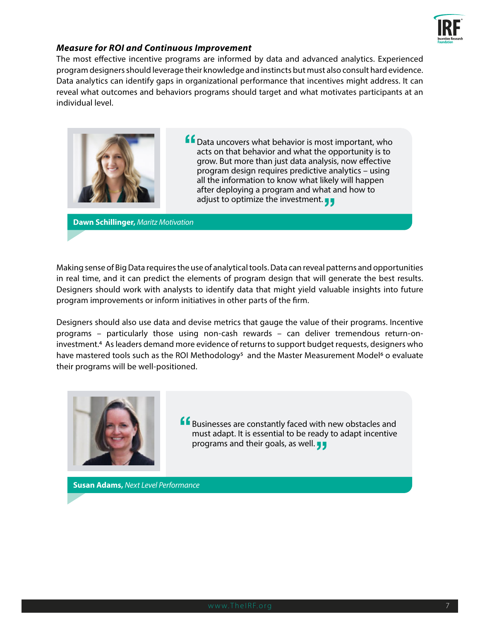

#### *Measure for ROI and Continuous Improvement*

The most effective incentive programs are informed by data and advanced analytics. Experienced program designers should leverage their knowledge and instincts but must also consult hard evidence. Data analytics can identify gaps in organizational performance that incentives might address. It can reveal what outcomes and behaviors programs should target and what motivates participants at an individual level.



Data uncovers what behavior is most important, who acts on that behavior and what the opportunity is to grow. But more than just data analysis, now effective program design requires predictive analytics – using all the information to know what likely will happen after deploying a program and what and how to adjust to optimize the investment. The<br>**" "**

**Dawn Schillinger,** *Maritz Motivation*

Making sense of Big Data requires the use of analytical tools. Data can reveal patterns and opportunities in real time, and it can predict the elements of program design that will generate the best results. Designers should work with analysts to identify data that might yield valuable insights into future program improvements or inform initiatives in other parts of the firm.

Designers should also use data and devise metrics that gauge the value of their programs. Incentive programs – particularly those using non-cash rewards – can deliver tremendous return-oninvestment.4 As leaders demand more evidence of returns to support budget requests, designers who have mastered tools such as the ROI Methodology<sup>5</sup> and the Master Measurement Model<sup>6</sup> o evaluate their programs will be well-positioned.



**f** Businesses are constantly faced with new obstacles and must adapt. It is essential to be ready to adapt incentive must adapt. It is essential to be ready to adapt incentive programs and their goals, as well. **"**

**Susan Adams,** *Next Level Performance*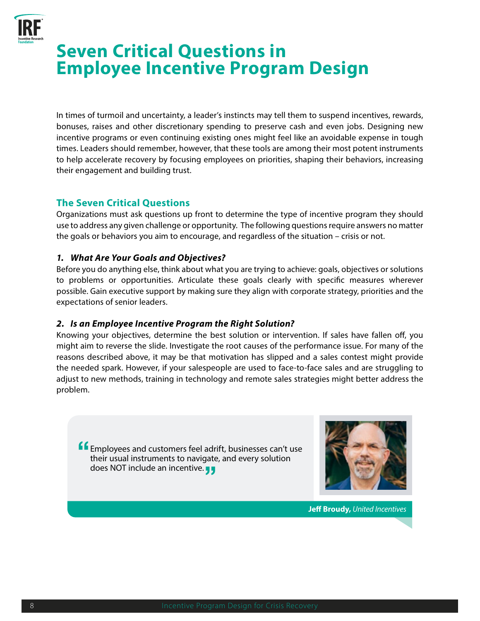

# **Seven Critical Questions in Employee Incentive Program Design**

In times of turmoil and uncertainty, a leader's instincts may tell them to suspend incentives, rewards, bonuses, raises and other discretionary spending to preserve cash and even jobs. Designing new incentive programs or even continuing existing ones might feel like an avoidable expense in tough times. Leaders should remember, however, that these tools are among their most potent instruments to help accelerate recovery by focusing employees on priorities, shaping their behaviors, increasing their engagement and building trust.

# **The Seven Critical Questions**

Organizations must ask questions up front to determine the type of incentive program they should use to address any given challenge or opportunity. The following questions require answers no matter the goals or behaviors you aim to encourage, and regardless of the situation – crisis or not.

# *1. What Are Your Goals and Objectives?*

Before you do anything else, think about what you are trying to achieve: goals, objectives or solutions to problems or opportunities. Articulate these goals clearly with specific measures wherever possible. Gain executive support by making sure they align with corporate strategy, priorities and the expectations of senior leaders.

# *2. Is an Employee Incentive Program the Right Solution?*

Knowing your objectives, determine the best solution or intervention. If sales have fallen off, you might aim to reverse the slide. Investigate the root causes of the performance issue. For many of the reasons described above, it may be that motivation has slipped and a sales contest might provide the needed spark. However, if your salespeople are used to face-to-face sales and are struggling to adjust to new methods, training in technology and remote sales strategies might better address the problem.

**f** Employees and customers feel adrift, businesses can't use<br>their usual instruments to navigate, and every solution<br>does NOT include an insentive  $\overline{z}$ their usual instruments to navigate, and every solution does NOT include an incentive. **"**



**Jeff Broudy,** *United Incentives*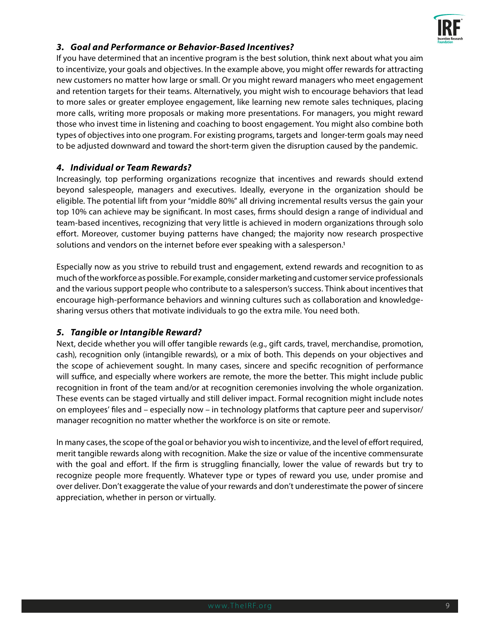

### *3. Goal and Performance or Behavior-Based Incentives?*

If you have determined that an incentive program is the best solution, think next about what you aim to incentivize, your goals and objectives. In the example above, you might offer rewards for attracting new customers no matter how large or small. Or you might reward managers who meet engagement and retention targets for their teams. Alternatively, you might wish to encourage behaviors that lead to more sales or greater employee engagement, like learning new remote sales techniques, placing more calls, writing more proposals or making more presentations. For managers, you might reward those who invest time in listening and coaching to boost engagement. You might also combine both types of objectives into one program. For existing programs, targets and longer-term goals may need to be adjusted downward and toward the short-term given the disruption caused by the pandemic.

#### *4. Individual or Team Rewards?*

Increasingly, top performing organizations recognize that incentives and rewards should extend beyond salespeople, managers and executives. Ideally, everyone in the organization should be eligible. The potential lift from your "middle 80%" all driving incremental results versus the gain your top 10% can achieve may be significant. In most cases, firms should design a range of individual and team-based incentives, recognizing that very little is achieved in modern organizations through solo effort. Moreover, customer buying patterns have changed; the majority now research prospective solutions and vendors on the internet before ever speaking with a salesperson.<sup>1</sup>

Especially now as you strive to rebuild trust and engagement, extend rewards and recognition to as much of the workforce as possible. For example, consider marketing and customer service professionals and the various support people who contribute to a salesperson's success. Think about incentives that encourage high-performance behaviors and winning cultures such as collaboration and knowledgesharing versus others that motivate individuals to go the extra mile. You need both.

#### *5. Tangible or Intangible Reward?*

Next, decide whether you will offer tangible rewards (e.g., gift cards, travel, merchandise, promotion, cash), recognition only (intangible rewards), or a mix of both. This depends on your objectives and the scope of achievement sought. In many cases, sincere and specific recognition of performance will suffice, and especially where workers are remote, the more the better. This might include public recognition in front of the team and/or at recognition ceremonies involving the whole organization. These events can be staged virtually and still deliver impact. Formal recognition might include notes on employees' files and – especially now – in technology platforms that capture peer and supervisor/ manager recognition no matter whether the workforce is on site or remote.

In many cases, the scope of the goal or behavior you wish to incentivize, and the level of effort required, merit tangible rewards along with recognition. Make the size or value of the incentive commensurate with the goal and effort. If the firm is struggling financially, lower the value of rewards but try to recognize people more frequently. Whatever type or types of reward you use, under promise and over deliver. Don't exaggerate the value of your rewards and don't underestimate the power of sincere appreciation, whether in person or virtually.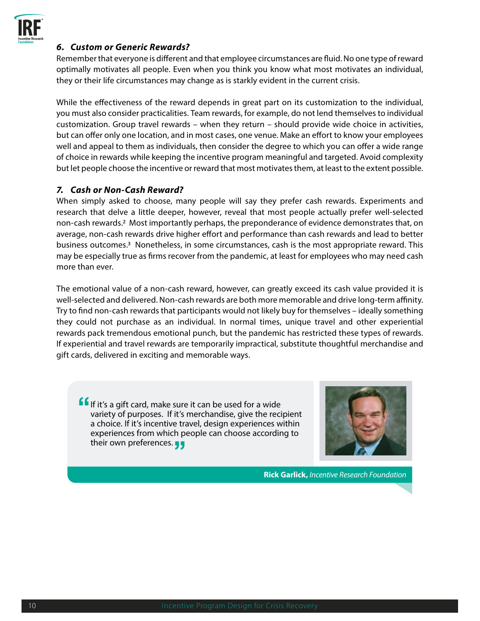

#### *6. Custom or Generic Rewards?*

Remember that everyone is different and that employee circumstances are fluid. No one type of reward optimally motivates all people. Even when you think you know what most motivates an individual, they or their life circumstances may change as is starkly evident in the current crisis.

While the effectiveness of the reward depends in great part on its customization to the individual, you must also consider practicalities. Team rewards, for example, do not lend themselves to individual customization. Group travel rewards – when they return – should provide wide choice in activities, but can offer only one location, and in most cases, one venue. Make an effort to know your employees well and appeal to them as individuals, then consider the degree to which you can offer a wide range of choice in rewards while keeping the incentive program meaningful and targeted. Avoid complexity but let people choose the incentive or reward that most motivates them, at least to the extent possible.

#### *7. Cash or Non-Cash Reward?*

When simply asked to choose, many people will say they prefer cash rewards. Experiments and research that delve a little deeper, however, reveal that most people actually prefer well-selected non-cash rewards.2 Most importantly perhaps, the preponderance of evidence demonstrates that, on average, non-cash rewards drive higher effort and performance than cash rewards and lead to better business outcomes.3 Nonetheless, in some circumstances, cash is the most appropriate reward. This may be especially true as firms recover from the pandemic, at least for employees who may need cash more than ever.

The emotional value of a non-cash reward, however, can greatly exceed its cash value provided it is well-selected and delivered. Non-cash rewards are both more memorable and drive long-term affinity. Try to find non-cash rewards that participants would not likely buy for themselves – ideally something they could not purchase as an individual. In normal times, unique travel and other experiential rewards pack tremendous emotional punch, but the pandemic has restricted these types of rewards. If experiential and travel rewards are temporarily impractical, substitute thoughtful merchandise and gift cards, delivered in exciting and memorable ways.

**f** If it's a gift card, make sure it can be used for a wide<br>variety of purposes. If it's merchandise, give the reci variety of purposes. If it's merchandise, give the recipient a choice. If it's incentive travel, design experiences within experiences from which people can choose according to their own preferences. **J J**<br>.



**Rick Garlick,** *Incentive Research Foundation*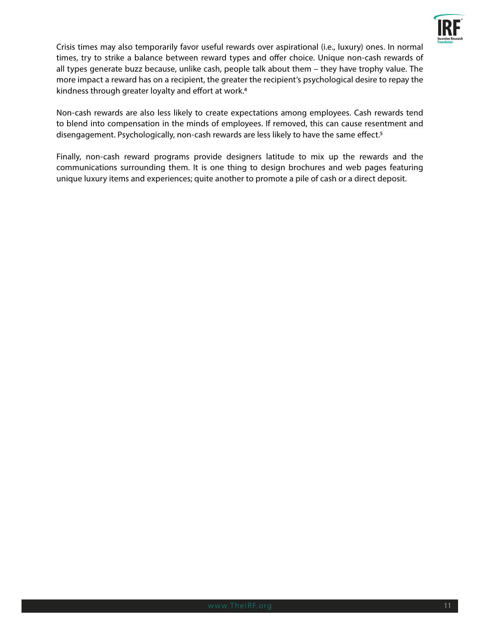

Crisis times may also temporarily favor useful rewards over aspirational (i.e., luxury) ones. In normal times, try to strike a balance between reward types and offer choice. Unique non-cash rewards of all types generate buzz because, unlike cash, people talk about them – they have trophy value. The more impact a reward has on a recipient, the greater the recipient's psychological desire to repay the kindness through greater loyalty and effort at work.4

Non-cash rewards are also less likely to create expectations among employees. Cash rewards tend to blend into compensation in the minds of employees. If removed, this can cause resentment and disengagement. Psychologically, non-cash rewards are less likely to have the same effect.<sup>5</sup>

Finally, non-cash reward programs provide designers latitude to mix up the rewards and the communications surrounding them. It is one thing to design brochures and web pages featuring unique luxury items and experiences; quite another to promote a pile of cash or a direct deposit.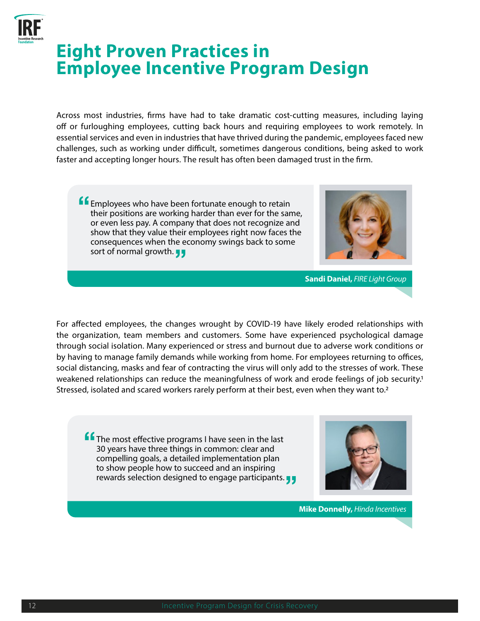

# **Eight Proven Practices in Employee Incentive Program Design**

Across most industries, firms have had to take dramatic cost-cutting measures, including laying off or furloughing employees, cutting back hours and requiring employees to work remotely. In essential services and even in industries that have thrived during the pandemic, employees faced new challenges, such as working under difficult, sometimes dangerous conditions, being asked to work faster and accepting longer hours. The result has often been damaged trust in the firm.

**f** Employees who have been fortunate enough to retain<br>their positions are working harder than ever for the sar their positions are working harder than ever for the same, or even less pay. A company that does not recognize and show that they value their employees right now faces the consequences when the economy swings back to some sort of normal growth. **JJ**<br><mark>.</mark>



**Sandi Daniel,** *FIRE Light Group*

For affected employees, the changes wrought by COVID-19 have likely eroded relationships with the organization, team members and customers. Some have experienced psychological damage through social isolation. Many experienced or stress and burnout due to adverse work conditions or by having to manage family demands while working from home. For employees returning to offices, social distancing, masks and fear of contracting the virus will only add to the stresses of work. These weakened relationships can reduce the meaningfulness of work and erode feelings of job security.<sup>1</sup> Stressed, isolated and scared workers rarely perform at their best, even when they want to.2

**f** The most effective programs I have seen in the last<br>30 years have three things in common: clear and<br>compelling goals a detailed implementation plan 30 years have three things in common: clear and compelling goals, a detailed implementation plan to show people how to succeed and an inspiring rewards selection designed to engage participants. **"**



**Mike Donnelly,** *Hinda Incentives*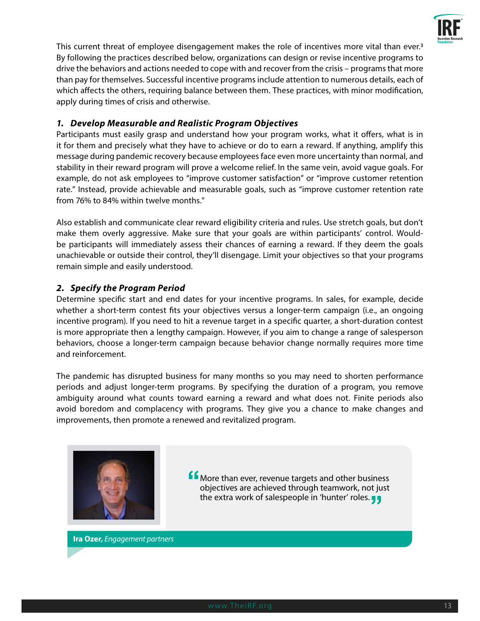

This current threat of employee disengagement makes the role of incentives more vital than ever.<sup>3</sup> By following the practices described below, organizations can design or revise incentive programs to drive the behaviors and actions needed to cope with and recover from the crisis – programs that more than pay for themselves. Successful incentive programs include attention to numerous details, each of which affects the others, requiring balance between them. These practices, with minor modification, apply during times of crisis and otherwise.

# *1. Develop Measurable and Realistic Program Objectives*

Participants must easily grasp and understand how your program works, what it offers, what is in it for them and precisely what they have to achieve or do to earn a reward. If anything, amplify this message during pandemic recovery because employees face even more uncertainty than normal, and stability in their reward program will prove a welcome relief. In the same vein, avoid vague goals. For example, do not ask employees to "improve customer satisfaction" or "improve customer retention rate." Instead, provide achievable and measurable goals, such as "improve customer retention rate from 76% to 84% within twelve months."

Also establish and communicate clear reward eligibility criteria and rules. Use stretch goals, but don't make them overly aggressive. Make sure that your goals are within participants' control. Wouldbe participants will immediately assess their chances of earning a reward. If they deem the goals unachievable or outside their control, they'll disengage. Limit your objectives so that your programs remain simple and easily understood.

### *2. Specify the Program Period*

Determine specific start and end dates for your incentive programs. In sales, for example, decide whether a short-term contest fits your objectives versus a longer-term campaign (i.e., an ongoing incentive program). If you need to hit a revenue target in a specific quarter, a short-duration contest is more appropriate then a lengthy campaign. However, if you aim to change a range of salesperson behaviors, choose a longer-term campaign because behavior change normally requires more time and reinforcement.

The pandemic has disrupted business for many months so you may need to shorten performance periods and adjust longer-term programs. By specifying the duration of a program, you remove ambiguity around what counts toward earning a reward and what does not. Finite periods also avoid boredom and complacency with programs. They give you a chance to make changes and improvements, then promote a renewed and revitalized program.



**f** More than ever, revenue targets and other business<br>objectives are achieved through teamwork, not just<br>the extra work of salespeeds in 'bunter' relax objectives are achieved through teamwork, not just the extra work of salespeople in 'hunter' roles. **"**

**Ira Ozer,** *Engagement partners*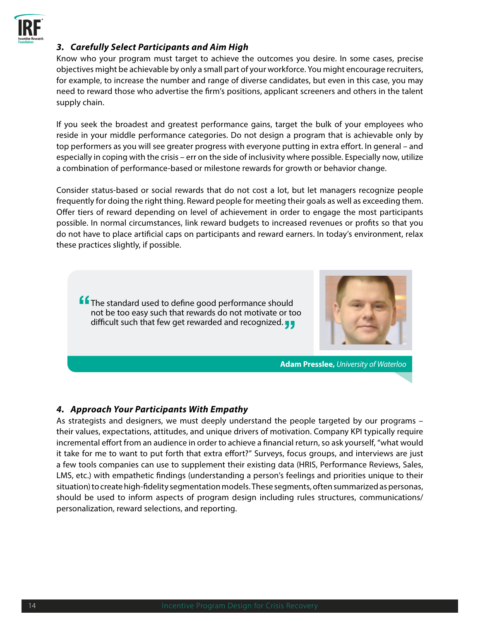

### *3. Carefully Select Participants and Aim High*

Know who your program must target to achieve the outcomes you desire. In some cases, precise objectives might be achievable by only a small part of your workforce. You might encourage recruiters, for example, to increase the number and range of diverse candidates, but even in this case, you may need to reward those who advertise the firm's positions, applicant screeners and others in the talent supply chain.

If you seek the broadest and greatest performance gains, target the bulk of your employees who reside in your middle performance categories. Do not design a program that is achievable only by top performers as you will see greater progress with everyone putting in extra effort. In general – and especially in coping with the crisis – err on the side of inclusivity where possible. Especially now, utilize a combination of performance-based or milestone rewards for growth or behavior change.

Consider status-based or social rewards that do not cost a lot, but let managers recognize people frequently for doing the right thing. Reward people for meeting their goals as well as exceeding them. Offer tiers of reward depending on level of achievement in order to engage the most participants possible. In normal circumstances, link reward budgets to increased revenues or profits so that you do not have to place artificial caps on participants and reward earners. In today's environment, relax these practices slightly, if possible.

**f** The standard used to define good performance should<br>not be too easy such that rewards do not motivate or to<br>difficult such that fou get rewarded and recognized not be too easy such that rewards do not motivate or too difficult such that few get rewarded and recognized. **"**



**Adam Presslee,** *University of Waterloo*

#### *4. Approach Your Participants With Empathy*

As strategists and designers, we must deeply understand the people targeted by our programs – their values, expectations, attitudes, and unique drivers of motivation. Company KPI typically require incremental effort from an audience in order to achieve a financial return, so ask yourself, "what would it take for me to want to put forth that extra effort?" Surveys, focus groups, and interviews are just a few tools companies can use to supplement their existing data (HRIS, Performance Reviews, Sales, LMS, etc.) with empathetic findings (understanding a person's feelings and priorities unique to their situation) to create high-fidelity segmentation models. These segments, often summarized as personas, should be used to inform aspects of program design including rules structures, communications/ personalization, reward selections, and reporting.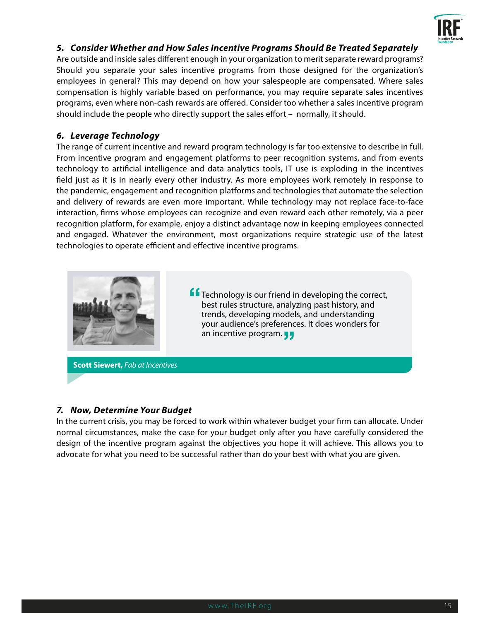

#### *5. Consider Whether and How Sales Incentive Programs Should Be Treated Separately*

Are outside and inside sales different enough in your organization to merit separate reward programs? Should you separate your sales incentive programs from those designed for the organization's employees in general? This may depend on how your salespeople are compensated. Where sales compensation is highly variable based on performance, you may require separate sales incentives programs, even where non-cash rewards are offered. Consider too whether a sales incentive program should include the people who directly support the sales effort – normally, it should.

#### *6. Leverage Technology*

The range of current incentive and reward program technology is far too extensive to describe in full. From incentive program and engagement platforms to peer recognition systems, and from events technology to artificial intelligence and data analytics tools, IT use is exploding in the incentives field just as it is in nearly every other industry. As more employees work remotely in response to the pandemic, engagement and recognition platforms and technologies that automate the selection and delivery of rewards are even more important. While technology may not replace face-to-face interaction, firms whose employees can recognize and even reward each other remotely, via a peer recognition platform, for example, enjoy a distinct advantage now in keeping employees connected and engaged. Whatever the environment, most organizations require strategic use of the latest technologies to operate efficient and effective incentive programs.



Technology is our friend in developing the correct, **"** best rules structure, analyzing past history, and trends, developing models, and understanding your audience's preferences. It does wonders for an incentive program. **"**

**Scott Siewert,** *Fab at Incentives*

#### *7. Now, Determine Your Budget*

In the current crisis, you may be forced to work within whatever budget your firm can allocate. Under normal circumstances, make the case for your budget only after you have carefully considered the design of the incentive program against the objectives you hope it will achieve. This allows you to advocate for what you need to be successful rather than do your best with what you are given.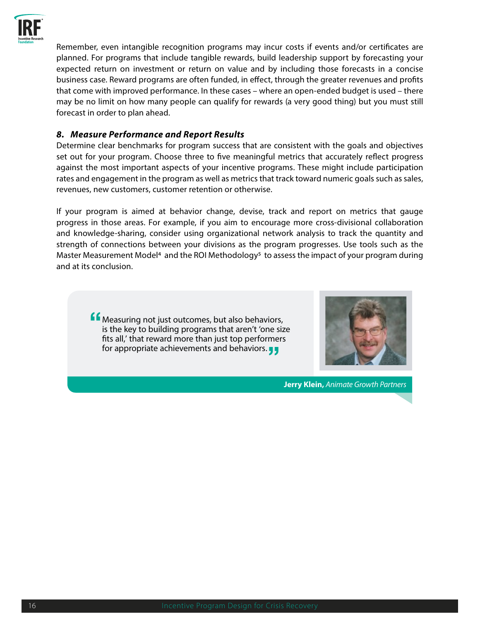

Remember, even intangible recognition programs may incur costs if events and/or certificates are planned. For programs that include tangible rewards, build leadership support by forecasting your expected return on investment or return on value and by including those forecasts in a concise business case. Reward programs are often funded, in effect, through the greater revenues and profits that come with improved performance. In these cases – where an open-ended budget is used – there may be no limit on how many people can qualify for rewards (a very good thing) but you must still forecast in order to plan ahead.

#### *8. Measure Performance and Report Results*

Determine clear benchmarks for program success that are consistent with the goals and objectives set out for your program. Choose three to five meaningful metrics that accurately reflect progress against the most important aspects of your incentive programs. These might include participation rates and engagement in the program as well as metrics that track toward numeric goals such as sales, revenues, new customers, customer retention or otherwise.

If your program is aimed at behavior change, devise, track and report on metrics that gauge progress in those areas. For example, if you aim to encourage more cross-divisional collaboration and knowledge-sharing, consider using organizational network analysis to track the quantity and strength of connections between your divisions as the program progresses. Use tools such as the Master Measurement Model<sup>4</sup> and the ROI Methodology<sup>5</sup> to assess the impact of your program during and at its conclusion.

**f** Measuring not just outcomes, but also behaviors,<br>is the key to building programs that aren't 'one sis-<br>**fite all**' that rouard more than just top performer is the key to building programs that aren't 'one size fits all,' that reward more than just top performers for appropriate achievements and behaviors. **"**



**Jerry Klein,** *Animate Growth Partners*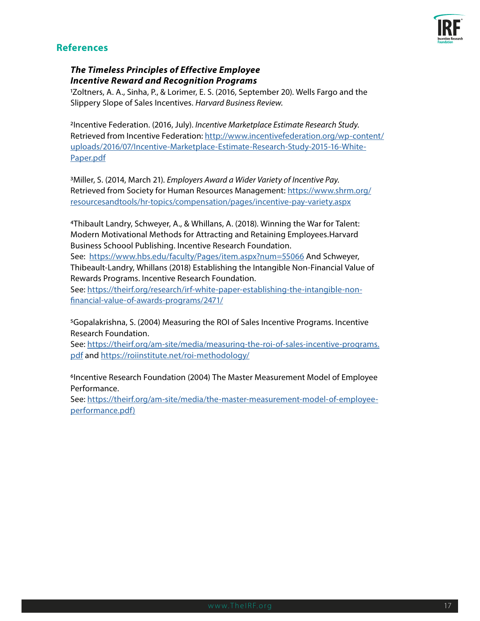

# **References**

#### *The Timeless Principles of Effective Employee Incentive Reward and Recognition Programs*

1Zoltners, A. A., Sinha, P., & Lorimer, E. S. (2016, September 20). Wells Fargo and the Slippery Slope of Sales Incentives. *Harvard Business Review*.

2Incentive Federation. (2016, July). *Incentive Marketplace Estimate Research Study*. Retrieved from Incentive Federation: [http://www.incentivefederation.org/wp-content/](http://http://www.incentivefederation.org/wp-content/uploads/2016/07/Incentive-Marketplace-Estimate-Research-Study-2015-16-White-Paper.pdf) [uploads/2016/07/Incentive-Marketplace-Estimate-Research-Study-2015-16-White-](http://http://www.incentivefederation.org/wp-content/uploads/2016/07/Incentive-Marketplace-Estimate-Research-Study-2015-16-White-Paper.pdf)[Paper.pdf](http://http://www.incentivefederation.org/wp-content/uploads/2016/07/Incentive-Marketplace-Estimate-Research-Study-2015-16-White-Paper.pdf)

3Miller, S. (2014, March 21). *Employers Award a Wider Variety of Incentive Pay*. Retrieved from Society for Human Resources Management: [https://www.shrm.org/](https://www.shrm.org/resourcesandtools/hr-topics/compensation/pages/incentive-pay-variety.aspx) [resourcesandtools/hr-topics/compensation/pages/incentive-pay-variety.aspx](https://www.shrm.org/resourcesandtools/hr-topics/compensation/pages/incentive-pay-variety.aspx)

4Thibault Landry, Schweyer, A., & Whillans, A. (2018). Winning the War for Talent: Modern Motivational Methods for Attracting and Retaining Employees.Harvard Business Schoool Publishing. Incentive Research Foundation.

See: <https://www.hbs.edu/faculty/Pages/item.aspx?num=55066> And Schweyer, Thibeault-Landry, Whillans (2018) Establishing the Intangible Non-Financial Value of Rewards Programs. Incentive Research Foundation.

See: [https://theirf.org/research/irf-white-paper-establishing-the-intangible-non](https://theirf.org/research/irf-white-paper-establishing-the-intangible-non-financial-value-of-awards-programs/2471/)[financial-value-of-awards-programs/2471/](https://theirf.org/research/irf-white-paper-establishing-the-intangible-non-financial-value-of-awards-programs/2471/)

5Gopalakrishna, S. (2004) Measuring the ROI of Sales Incentive Programs. Incentive Research Foundation.

See: [https://theirf.org/am-site/media/measuring-the-roi-of-sales-incentive-programs.](https://theirf.org/am-site/media/measuring-the-roi-of-sales-incentive-programs.pdf) [pdf](https://theirf.org/am-site/media/measuring-the-roi-of-sales-incentive-programs.pdf) and <https://roiinstitute.net/roi-methodology/>

<sup>6</sup>Incentive Research Foundation (2004) The Master Measurement Model of Employee Performance.

See: [https://theirf.org/am-site/media/the-master-measurement-model-of-employee](https://theirf.org/am-site/media/the-master-measurement-model-of-employee-performance.pdf)[performance.pdf\)](https://theirf.org/am-site/media/the-master-measurement-model-of-employee-performance.pdf)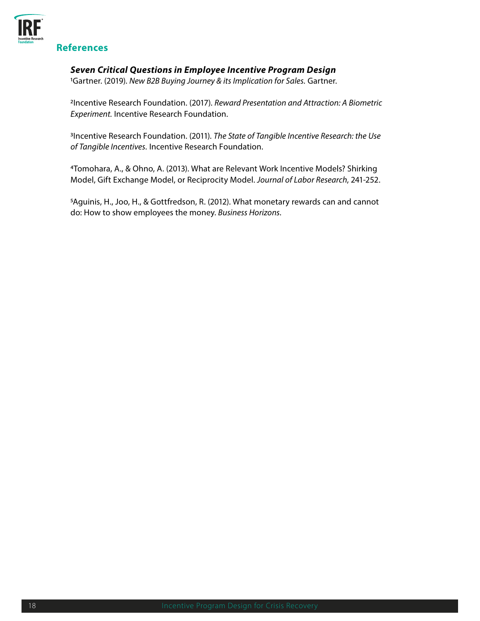

# **References**

#### *Seven Critical Questions in Employee Incentive Program Design*

1Gartner. (2019). *New B2B Buying Journey & its Implication for Sales.* Gartner.

2Incentive Research Foundation. (2017). *Reward Presentation and Attraction: A Biometric Experiment.* Incentive Research Foundation.

3Incentive Research Foundation. (2011). *The State of Tangible Incentive Research: the Use of Tangible Incentives.* Incentive Research Foundation.

4Tomohara, A., & Ohno, A. (2013). What are Relevant Work Incentive Models? Shirking Model, Gift Exchange Model, or Reciprocity Model. *Journal of Labor Research*, 241-252.

5Aguinis, H., Joo, H., & Gottfredson, R. (2012). What monetary rewards can and cannot do: How to show employees the money. *Business Horizons.*